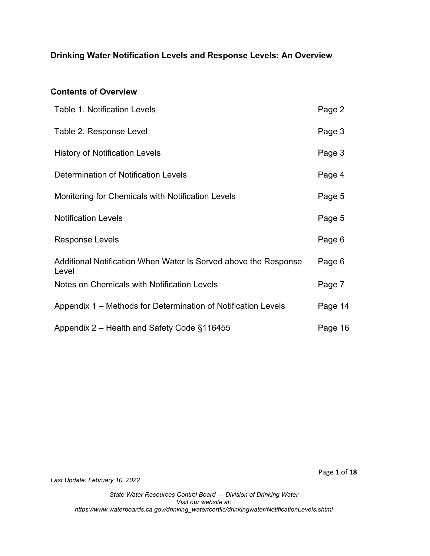# **Drinking Water Notification Levels and Response Levels: An Overview**

#### **Contents of Overview**

| <b>Table 1. Notification Levels</b>                                      | Page 2  |
|--------------------------------------------------------------------------|---------|
| Table 2. Response Level                                                  | Page 3  |
| <b>History of Notification Levels</b>                                    | Page 3  |
| Determination of Notification Levels                                     | Page 4  |
| Monitoring for Chemicals with Notification Levels                        | Page 5  |
| <b>Notification Levels</b>                                               | Page 5  |
| Response Levels                                                          | Page 6  |
| Additional Notification When Water Is Served above the Response<br>Level | Page 6  |
| Notes on Chemicals with Notification Levels                              | Page 7  |
| Appendix 1 – Methods for Determination of Notification Levels            | Page 14 |
| Appendix 2 - Health and Safety Code §116455                              | Page 16 |

*Last Update: February 10, 2022*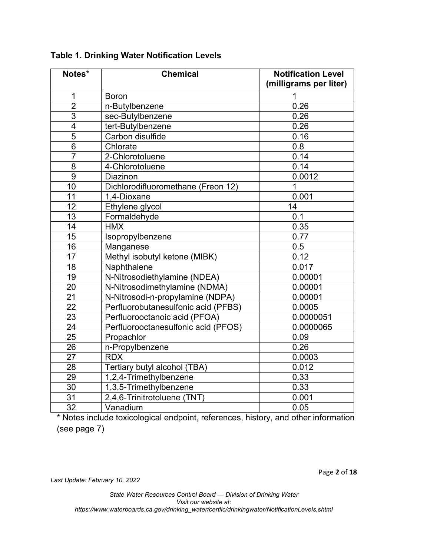| Notes*          | <b>Chemical</b>                     | <b>Notification Level</b><br>(milligrams per liter) |
|-----------------|-------------------------------------|-----------------------------------------------------|
| $\mathbf 1$     | <b>Boron</b>                        | 1                                                   |
| $\overline{2}$  | n-Butylbenzene                      | 0.26                                                |
| $\overline{3}$  | sec-Butylbenzene                    | 0.26                                                |
| $\overline{4}$  | tert-Butylbenzene                   | 0.26                                                |
| $\overline{5}$  | Carbon disulfide                    | 0.16                                                |
| 6               | Chlorate                            | 0.8                                                 |
| $\overline{7}$  | 2-Chlorotoluene                     | 0.14                                                |
| 8               | 4-Chlorotoluene                     | 0.14                                                |
| $\overline{9}$  | Diazinon                            | 0.0012                                              |
| 10              | Dichlorodifluoromethane (Freon 12)  | 1                                                   |
| 11              | 1,4-Dioxane                         | 0.001                                               |
| 12              | Ethylene glycol                     | 14                                                  |
| 13              | Formaldehyde                        | 0.1                                                 |
| 14              | <b>HMX</b>                          | 0.35                                                |
| $\overline{15}$ | Isopropylbenzene                    | 0.77                                                |
| 16              | Manganese                           | 0.5                                                 |
| 17              | Methyl isobutyl ketone (MIBK)       | 0.12                                                |
| 18              | Naphthalene                         | 0.017                                               |
| $\overline{19}$ | N-Nitrosodiethylamine (NDEA)        | 0.00001                                             |
| 20              | N-Nitrosodimethylamine (NDMA)       | 0.00001                                             |
| 21              | N-Nitrosodi-n-propylamine (NDPA)    | 0.00001                                             |
| 22              | Perfluorobutanesulfonic acid (PFBS) | 0.0005                                              |
| 23              | Perfluorooctanoic acid (PFOA)       | 0.0000051                                           |
| 24              | Perfluorooctanesulfonic acid (PFOS) | 0.0000065                                           |
| 25              | Propachlor                          | 0.09                                                |
| $\overline{26}$ | n-Propylbenzene                     | 0.26                                                |
| $\overline{27}$ | <b>RDX</b>                          | 0.0003                                              |
| 28              | Tertiary butyl alcohol (TBA)        | 0.012                                               |
| 29              | 1,2,4-Trimethylbenzene              | 0.33                                                |
| 30              | 1,3,5-Trimethylbenzene              | 0.33                                                |
| 31              | 2,4,6-Trinitrotoluene (TNT)         | 0.001                                               |
| 32              | Vanadium                            | 0.05                                                |

**Table 1. Drinking Water Notification Levels**

\* Notes include toxicological endpoint, references, history, and other information (see page 7)

*Last Update: February 10, 2022*

*State Water Resources Control Board — Division of Drinking Water Visit our website at:* 

*https://www.waterboards.ca.gov/drinking\_water/certlic/drinkingwater/NotificationLevels.shtml*

Page **2** of **18**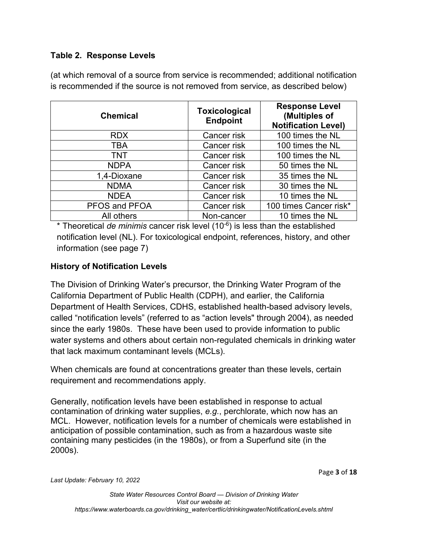## **Table 2. Response Levels**

(at which removal of a source from service is recommended; additional notification is recommended if the source is not removed from service, as described below)

| <b>Chemical</b> | <b>Toxicological</b><br><b>Endpoint</b> | <b>Response Level</b><br>(Multiples of<br><b>Notification Level)</b> |  |
|-----------------|-----------------------------------------|----------------------------------------------------------------------|--|
| <b>RDX</b>      | Cancer risk                             | 100 times the NL                                                     |  |
| <b>TBA</b>      | Cancer risk                             | 100 times the NL                                                     |  |
| <b>TNT</b>      | Cancer risk                             | 100 times the NL                                                     |  |
| <b>NDPA</b>     | Cancer risk                             | 50 times the NL                                                      |  |
| 1,4-Dioxane     | Cancer risk                             | 35 times the NL                                                      |  |
| <b>NDMA</b>     | Cancer risk                             | 30 times the NL                                                      |  |
| <b>NDEA</b>     | Cancer risk                             | 10 times the NL                                                      |  |
| PFOS and PFOA   | Cancer risk                             | 100 times Cancer risk*                                               |  |
| All others      | Non-cancer                              | 10 times the NL                                                      |  |

\* Theoretical *de minimis* cancer risk level (10-6 ) is less than the established notification level (NL). For toxicological endpoint, references, history, and other information (see page 7)

## **History of Notification Levels**

The Division of Drinking Water's precursor, the Drinking Water Program of the California Department of Public Health (CDPH), and earlier, the California Department of Health Services, CDHS, established health-based advisory levels, called "notification levels" (referred to as "action levels" through 2004), as needed since the early 1980s. These have been used to provide information to public water systems and others about certain non-regulated chemicals in drinking water that lack maximum contaminant levels (MCLs).

When chemicals are found at concentrations greater than these levels, certain requirement and recommendations apply.

Generally, notification levels have been established in response to actual contamination of drinking water supplies, *e.g.*, perchlorate, which now has an MCL. However, notification levels for a number of chemicals were established in anticipation of possible contamination, such as from a hazardous waste site containing many pesticides (in the 1980s), or from a Superfund site (in the 2000s).

Page **3** of **18**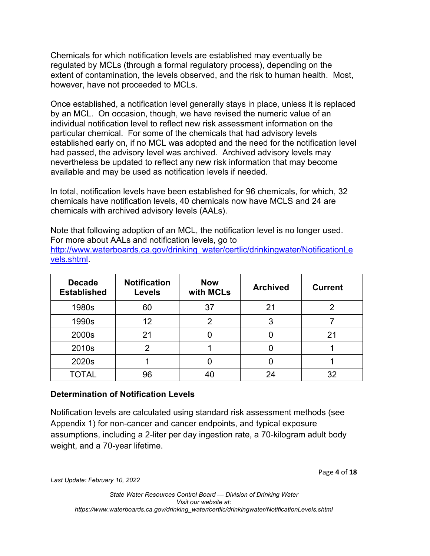Chemicals for which notification levels are established may eventually be regulated by MCLs (through a formal regulatory process), depending on the extent of contamination, the levels observed, and the risk to human health. Most, however, have not proceeded to MCLs.

Once established, a notification level generally stays in place, unless it is replaced by an MCL. On occasion, though, we have revised the numeric value of an individual notification level to reflect new risk assessment information on the particular chemical. For some of the chemicals that had advisory levels established early on, if no MCL was adopted and the need for the notification level had passed, the advisory level was archived. Archived advisory levels may nevertheless be updated to reflect any new risk information that may become available and may be used as notification levels if needed.

In total, notification levels have been established for 96 chemicals, for which, 32 chemicals have notification levels, 40 chemicals now have MCLS and 24 are chemicals with archived advisory levels (AALs).

Note that following adoption of an MCL, the notification level is no longer used. For more about AALs and notification levels, go to [http://www.waterboards.ca.gov/drinking\\_water/certlic/drinkingwater/NotificationLe](http://www.waterboards.ca.gov/drinking_water/certlic/drinkingwater/NotificationLevels.shtml) [vels.shtml](http://www.waterboards.ca.gov/drinking_water/certlic/drinkingwater/NotificationLevels.shtml).

| <b>Decade</b><br><b>Established</b> | <b>Notification</b><br><b>Levels</b> | <b>Now</b><br>with MCLs | <b>Archived</b> | <b>Current</b> |
|-------------------------------------|--------------------------------------|-------------------------|-----------------|----------------|
| 1980s                               | 60                                   | 37                      | 21              |                |
| 1990s                               | 12                                   | 2                       | 3               |                |
| 2000s                               | 21                                   |                         |                 | 21             |
| 2010s                               |                                      |                         |                 |                |
| 2020s                               |                                      |                         |                 |                |
| TOTAL                               | 96                                   | 40                      | 24              | 32             |

#### **Determination of Notification Levels**

Notification levels are calculated using standard risk assessment methods (see Appendix 1) for non-cancer and cancer endpoints, and typical exposure assumptions, including a 2-liter per day ingestion rate, a 70-kilogram adult body weight, and a 70-year lifetime.

Page **4** of **18**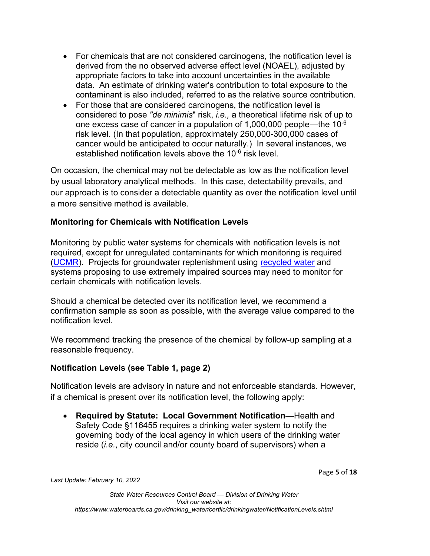- · For chemicals that are not considered carcinogens, the notification level is derived from the no observed adverse effect level (NOAEL), adjusted by appropriate factors to take into account uncertainties in the available data. An estimate of drinking water's contribution to total exposure to the contaminant is also included, referred to as the relative source contribution.
- For those that are considered carcinogens, the notification level is considered to pose *"de minimis*" risk, *i.e.,* a theoretical lifetime risk of up to one excess case of cancer in a population of  $1,000,000$  people—the  $10^{-6}$ risk level. (In that population, approximately 250,000-300,000 cases of cancer would be anticipated to occur naturally.) In several instances, we established notification levels above the 10<sup>-6</sup> risk level.

On occasion, the chemical may not be detectable as low as the notification level by usual laboratory analytical methods. In this case, detectability prevails, and our approach is to consider a detectable quantity as over the notification level until a more sensitive method is available.

## **Monitoring for Chemicals with Notification Levels**

Monitoring by public water systems for chemicals with notification levels is not required, except for unregulated contaminants for which monitoring is required ([UCMR\)](http://www.waterboards.ca.gov/drinking_water/certlic/drinkingwater/UCMR.shtml). Projects for groundwater replenishment using [recycled water](http://www.waterboards.ca.gov/drinking_water/certlic/drinkingwater/RecycledWater.shtml) and systems proposing to use extremely impaired sources may need to monitor for certain chemicals with notification levels.

Should a chemical be detected over its notification level, we recommend a confirmation sample as soon as possible, with the average value compared to the notification level.

We recommend tracking the presence of the chemical by follow-up sampling at a reasonable frequency.

#### **Notification Levels (see Table 1, page 2)**

Notification levels are advisory in nature and not enforceable standards. However, if a chemical is present over its notification level, the following apply:

· **Required by Statute: Local Government Notification—**Health and Safety Code §116455 requires a drinking water system to notify the governing body of the local agency in which users of the drinking water reside (*i.e.*, city council and/or county board of supervisors) when a

Page **5** of **18**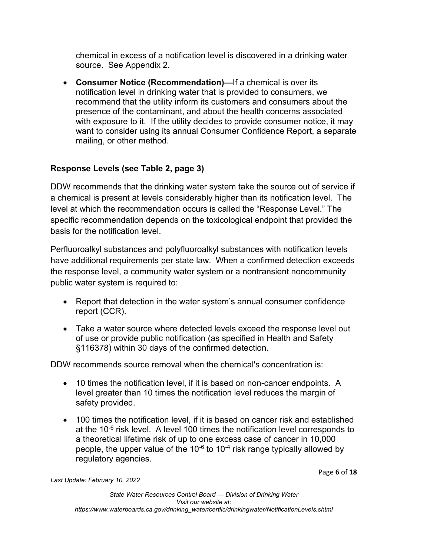chemical in excess of a notification level is discovered in a drinking water source. See Appendix 2.

· **Consumer Notice (Recommendation)—**If a chemical is over its notification level in drinking water that is provided to consumers, we recommend that the utility inform its customers and consumers about the presence of the contaminant, and about the health concerns associated with exposure to it. If the utility decides to provide consumer notice, it may want to consider using its annual Consumer Confidence Report, a separate mailing, or other method.

# **Response Levels (see Table 2, page 3)**

DDW recommends that the drinking water system take the source out of service if a chemical is present at levels considerably higher than its notification level. The level at which the recommendation occurs is called the "Response Level." The specific recommendation depends on the toxicological endpoint that provided the basis for the notification level.

Perfluoroalkyl substances and polyfluoroalkyl substances with notification levels have additional requirements per state law. When a confirmed detection exceeds the response level, a community water system or a nontransient noncommunity public water system is required to:

- · Report that detection in the water system's annual consumer confidence report (CCR).
- · Take a water source where detected levels exceed the response level out of use or provide public notification (as specified in Health and Safety §116378) within 30 days of the confirmed detection.

DDW recommends source removal when the chemical's concentration is:

- · 10 times the notification level, if it is based on non-cancer endpoints. A level greater than 10 times the notification level reduces the margin of safety provided.
- · 100 times the notification level, if it is based on cancer risk and established at the 10<sup>-6</sup> risk level. A level 100 times the notification level corresponds to a theoretical lifetime risk of up to one excess case of cancer in 10,000 people, the upper value of the 10<sup>-6</sup> to 10<sup>-4</sup> risk range typically allowed by regulatory agencies.

Page **6** of **18**

*Last Update: February 10, 2022*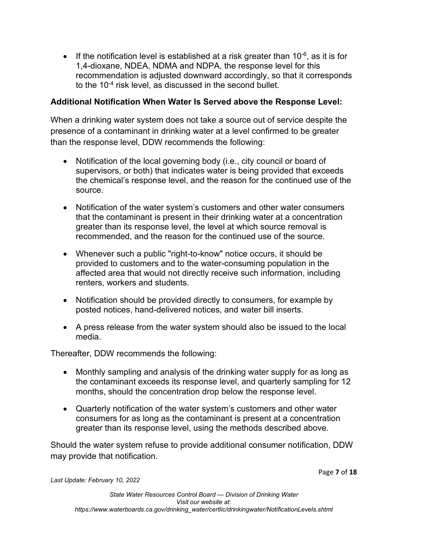$\bullet$  If the notification level is established at a risk greater than 10<sup>-6</sup>, as it is for 1,4-dioxane, NDEA, NDMA and NDPA, the response level for this recommendation is adjusted downward accordingly, so that it corresponds to the 10 $^{\text{4}}$  risk level, as discussed in the second bullet.

### **Additional Notification When Water Is Served above the Response Level:**

When a drinking water system does not take a source out of service despite the presence of a contaminant in drinking water at a level confirmed to be greater than the response level, DDW recommends the following:

- Notification of the local governing body (i.e., city council or board of supervisors, or both) that indicates water is being provided that exceeds the chemical's response level, and the reason for the continued use of the source.
- · Notification of the water system's customers and other water consumers that the contaminant is present in their drinking water at a concentration greater than its response level, the level at which source removal is recommended, and the reason for the continued use of the source.
- Whenever such a public "right-to-know" notice occurs, it should be provided to customers and to the water-consuming population in the affected area that would not directly receive such information, including renters, workers and students.
- Notification should be provided directly to consumers, for example by posted notices, hand-delivered notices, and water bill inserts.
- · A press release from the water system should also be issued to the local media.

Thereafter, DDW recommends the following:

- · Monthly sampling and analysis of the drinking water supply for as long as the contaminant exceeds its response level, and quarterly sampling for 12 months, should the concentration drop below the response level.
- · Quarterly notification of the water system's customers and other water consumers for as long as the contaminant is present at a concentration greater than its response level, using the methods described above.

Should the water system refuse to provide additional consumer notification, DDW may provide that notification.

Page **7** of **18**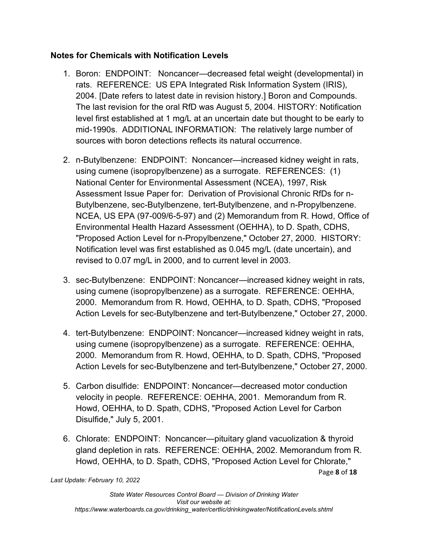### **Notes for Chemicals with Notification Levels**

- 1. Boron: ENDPOINT: Noncancer—decreased fetal weight (developmental) in rats. REFERENCE: US EPA Integrated Risk Information System (IRIS), 2004. [Date refers to latest date in revision history.] Boron and Compounds. The last revision for the oral RfD was August 5, 2004. HISTORY: Notification level first established at 1 mg/L at an uncertain date but thought to be early to mid-1990s. ADDITIONAL INFORMATION: The relatively large number of sources with boron detections reflects its natural occurrence.
- 2. n-Butylbenzene: ENDPOINT: Noncancer—increased kidney weight in rats, using cumene (isopropylbenzene) as a surrogate. REFERENCES: (1) National Center for Environmental Assessment (NCEA), 1997, Risk Assessment Issue Paper for: Derivation of Provisional Chronic RfDs for n-Butylbenzene, sec-Butylbenzene, tert-Butylbenzene, and n-Propylbenzene. NCEA, US EPA (97-009/6-5-97) and (2) Memorandum from R. Howd, Office of Environmental Health Hazard Assessment (OEHHA), to D. Spath, CDHS, "Proposed Action Level for n-Propylbenzene," October 27, 2000. HISTORY: Notification level was first established as 0.045 mg/L (date uncertain), and revised to 0.07 mg/L in 2000, and to current level in 2003.
- 3. sec-Butylbenzene: ENDPOINT: Noncancer—increased kidney weight in rats, using cumene (isopropylbenzene) as a surrogate. REFERENCE: OEHHA, 2000. Memorandum from R. Howd, OEHHA, to D. Spath, CDHS, "Proposed Action Levels for sec-Butylbenzene and tert-Butylbenzene," October 27, 2000.
- 4. tert-Butylbenzene: ENDPOINT: Noncancer—increased kidney weight in rats, using cumene (isopropylbenzene) as a surrogate. REFERENCE: OEHHA, 2000. Memorandum from R. Howd, OEHHA, to D. Spath, CDHS, "Proposed Action Levels for sec-Butylbenzene and tert-Butylbenzene," October 27, 2000.
- 5. Carbon disulfide: ENDPOINT: Noncancer—decreased motor conduction velocity in people. REFERENCE: OEHHA, 2001. Memorandum from R. Howd, OEHHA, to D. Spath, CDHS, "Proposed Action Level for Carbon Disulfide," July 5, 2001.
- Page **8** of **18** 6. Chlorate: ENDPOINT: Noncancer—pituitary gland vacuolization & thyroid gland depletion in rats. REFERENCE: OEHHA, 2002. Memorandum from R. Howd, OEHHA, to D. Spath, CDHS, "Proposed Action Level for Chlorate,"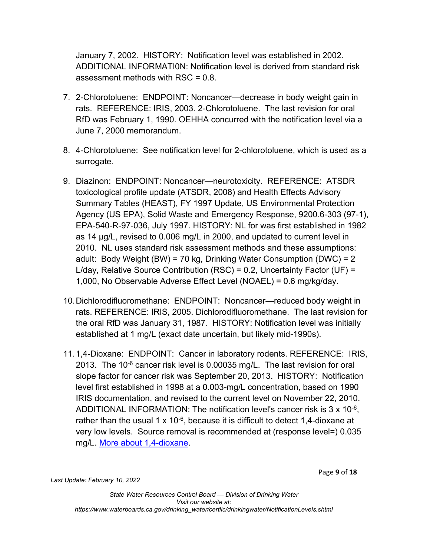January 7, 2002. HISTORY: Notification level was established in 2002. ADDITIONAL INFORMATI0N: Notification level is derived from standard risk assessment methods with RSC = 0.8.

- 7. 2-Chlorotoluene: ENDPOINT: Noncancer—decrease in body weight gain in rats. REFERENCE: IRIS, 2003. 2-Chlorotoluene. The last revision for oral RfD was February 1, 1990. OEHHA concurred with the notification level via a June 7, 2000 memorandum.
- 8. 4-Chlorotoluene: See notification level for 2-chlorotoluene, which is used as a surrogate.
- 9. Diazinon: ENDPOINT: Noncancer—neurotoxicity. REFERENCE: ATSDR toxicological profile update (ATSDR, 2008) and Health Effects Advisory Summary Tables (HEAST), FY 1997 Update, US Environmental Protection Agency (US EPA), Solid Waste and Emergency Response, 9200.6-303 (97-1), EPA-540-R-97-036, July 1997. HISTORY: NL for was first established in 1982 as 14 µg/L, revised to 0.006 mg/L in 2000, and updated to current level in 2010. NL uses standard risk assessment methods and these assumptions: adult: Body Weight (BW) = 70 kg, Drinking Water Consumption (DWC) = 2 L/day, Relative Source Contribution (RSC) = 0.2, Uncertainty Factor (UF) = 1,000, No Observable Adverse Effect Level (NOAEL) = 0.6 mg/kg/day.
- 10.Dichlorodifluoromethane: ENDPOINT: Noncancer—reduced body weight in rats. REFERENCE: IRIS, 2005. Dichlorodifluoromethane. The last revision for the oral RfD was January 31, 1987. HISTORY: Notification level was initially established at 1 mg/L (exact date uncertain, but likely mid-1990s).
- 11.1,4-Dioxane: ENDPOINT: Cancer in laboratory rodents. REFERENCE: IRIS, 2013. The 10 $<sup>6</sup>$  cancer risk level is 0.00035 mg/L. The last revision for oral</sup> slope factor for cancer risk was September 20, 2013. HISTORY: Notification level first established in 1998 at a 0.003-mg/L concentration, based on 1990 IRIS documentation, and revised to the current level on November 22, 2010. ADDITIONAL INFORMATION: The notification level's cancer risk is  $3 \times 10^{-6}$ , rather than the usual 1 x 10<sup>-6</sup>, because it is difficult to detect 1,4-dioxane at very low levels. Source removal is recommended at (response level=) 0.035 mg/L. [More about 1,4-dioxane](http://www.waterboards.ca.gov/drinking_water/certlic/drinkingwater/14-Dioxane.shtml).

Page **9** of **18**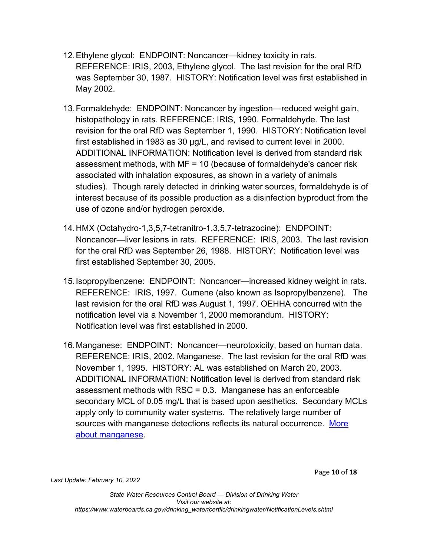- 12.Ethylene glycol: ENDPOINT: Noncancer—kidney toxicity in rats. REFERENCE: IRIS, 2003, Ethylene glycol. The last revision for the oral RfD was September 30, 1987. HISTORY: Notification level was first established in May 2002.
- 13.Formaldehyde: ENDPOINT: Noncancer by ingestion—reduced weight gain, histopathology in rats. REFERENCE: IRIS, 1990. Formaldehyde. The last revision for the oral RfD was September 1, 1990. HISTORY: Notification level first established in 1983 as 30 µg/L, and revised to current level in 2000. ADDITIONAL INFORMATION: Notification level is derived from standard risk assessment methods, with MF = 10 (because of formaldehyde's cancer risk associated with inhalation exposures, as shown in a variety of animals studies). Though rarely detected in drinking water sources, formaldehyde is of interest because of its possible production as a disinfection byproduct from the use of ozone and/or hydrogen peroxide.
- 14.HMX (Octahydro-1,3,5,7-tetranitro-1,3,5,7-tetrazocine): ENDPOINT: Noncancer—liver lesions in rats. REFERENCE: IRIS, 2003. The last revision for the oral RfD was September 26, 1988. HISTORY: Notification level was first established September 30, 2005.
- 15.Isopropylbenzene: ENDPOINT: Noncancer—increased kidney weight in rats. REFERENCE: IRIS, 1997. Cumene (also known as Isopropylbenzene). The last revision for the oral RfD was August 1, 1997. OEHHA concurred with the notification level via a November 1, 2000 memorandum. HISTORY: Notification level was first established in 2000.
- 16.Manganese: ENDPOINT: Noncancer—neurotoxicity, based on human data. REFERENCE: IRIS, 2002. Manganese. The last revision for the oral RfD was November 1, 1995. HISTORY: AL was established on March 20, 2003. ADDITIONAL INFORMATI0N: Notification level is derived from standard risk assessment methods with RSC = 0.3. Manganese has an enforceable secondary MCL of 0.05 mg/L that is based upon aesthetics. Secondary MCLs apply only to community water systems. The relatively large number of sources with manganese detections reflects its natural occurrence. More [about manganese](http://www.waterboards.ca.gov/drinking_water/certlic/drinkingwater/Manganese.shtml).

Page **10** of **18**

*Last Update: February 10, 2022*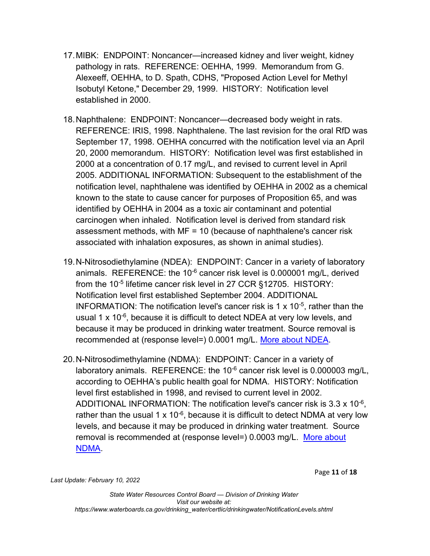- 17.MIBK: ENDPOINT: Noncancer—increased kidney and liver weight, kidney pathology in rats. REFERENCE: OEHHA, 1999. Memorandum from G. Alexeeff, OEHHA, to D. Spath, CDHS, "Proposed Action Level for Methyl Isobutyl Ketone," December 29, 1999. HISTORY: Notification level established in 2000.
- 18.Naphthalene: ENDPOINT: Noncancer—decreased body weight in rats. REFERENCE: IRIS, 1998. Naphthalene. The last revision for the oral RfD was September 17, 1998. OEHHA concurred with the notification level via an April 20, 2000 memorandum. HISTORY: Notification level was first established in 2000 at a concentration of 0.17 mg/L, and revised to current level in April 2005. ADDITIONAL INFORMATION: Subsequent to the establishment of the notification level, naphthalene was identified by OEHHA in 2002 as a chemical known to the state to cause cancer for purposes of Proposition 65, and was identified by OEHHA in 2004 as a toxic air contaminant and potential carcinogen when inhaled. Notification level is derived from standard risk assessment methods, with MF = 10 (because of naphthalene's cancer risk associated with inhalation exposures, as shown in animal studies).
- 19.N-Nitrosodiethylamine (NDEA): ENDPOINT: Cancer in a variety of laboratory animals. REFERENCE: the  $10^{-6}$  cancer risk level is 0.000001 mg/L, derived from the 10<sup>-5</sup> lifetime cancer risk level in 27 CCR §12705. HISTORY: Notification level first established September 2004. ADDITIONAL INFORMATION: The notification level's cancer risk is 1  $\times$  10<sup>-5</sup>, rather than the usual 1 x 10-6 , because it is difficult to detect NDEA at very low levels, and because it may be produced in drinking water treatment. Source removal is recommended at (response level=) 0.0001 mg/L. [More about NDEA.](http://www.waterboards.ca.gov/drinking_water/certlic/drinkingwater/NDMA.shtml)
- 20.N-Nitrosodimethylamine (NDMA): ENDPOINT: Cancer in a variety of laboratory animals. REFERENCE: the  $10^{-6}$  cancer risk level is 0.000003 mg/L, according to OEHHA's public health goal for NDMA. HISTORY: Notification level first established in 1998, and revised to current level in 2002. ADDITIONAL INFORMATION: The notification level's cancer risk is 3.3 x 10<sup>-6</sup>, rather than the usual 1 x 10<sup>-6</sup>, because it is difficult to detect NDMA at very low levels, and because it may be produced in drinking water treatment. Source removal is recommended at (response level=) 0.0003 mg/L. More about [NDMA](http://www.waterboards.ca.gov/drinking_water/certlic/drinkingwater/NDMA.shtml).

Page **11** of **18**

*Last Update: February 10, 2022*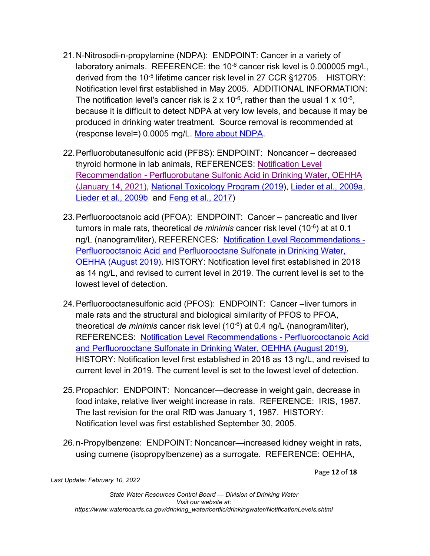- 21.N-Nitrosodi-n-propylamine (NDPA): ENDPOINT: Cancer in a variety of laboratory animals. REFERENCE: the  $10^{-6}$  cancer risk level is 0.000005 mg/L, derived from the 10<sup>-5</sup> lifetime cancer risk level in 27 CCR §12705. HISTORY: Notification level first established in May 2005. ADDITIONAL INFORMATION: The notification level's cancer risk is 2 x 10<sup>-6</sup>, rather than the usual 1 x 10<sup>-6</sup>, because it is difficult to detect NDPA at very low levels, and because it may be produced in drinking water treatment. Source removal is recommended at (response level=) 0.0005 mg/L. [More about NDPA](http://www.waterboards.ca.gov/drinking_water/certlic/drinkingwater/NDMA.shtml).
- 22.Perfluorobutanesulfonic acid (PFBS): ENDPOINT: Noncancer decreased thyroid hormone in lab animals, REFERENCES: [Notification Level](https://oehha.ca.gov/media/downloads/water/chemicals/nl/pfbsnl121820.pdf)  Recommendation - [Perfluorobutane Sulfonic Acid in Drinking Water, OEHHA](https://oehha.ca.gov/media/downloads/water/chemicals/nl/pfbsnl121820.pdf) [\(January 14, 2021\),](https://oehha.ca.gov/media/downloads/water/chemicals/nl/pfbsnl121820.pdf) [National Toxicology Program \(2019](https://ntp.niehs.nih.gov/ntp/htdocs/st_rpts/tox096_508.pdf?utm_source=direct&utm_medium=prod&utm_cam)), [Lieder et al., 2009a,](https://www.sciencedirect.com/science/article/abs/pii/S0300483X08004691) [Lieder et al., 2009b](https://www.sciencedirect.com/science/article/abs/pii/S0300483X09000766) and [Feng et al., 2017\)](https://academic.oup.com/toxsci/article/155/2/409/2684510)
- 23.Perfluorooctanoic acid (PFOA): ENDPOINT: Cancer pancreatic and liver tumors in male rats, theoretical *de minimis* cancer risk level (10-6 ) at at 0.1 ng/L (nanogram/liter), REFERENCES: [Notification Level Recommendations -](https://oehha.ca.gov/media/downloads/water/chemicals/nl/final-pfoa-pfosnl082119.pdf) [Perfluorooctanoic Acid and Perfluorooctane Sulfonate](https://oehha.ca.gov/media/downloads/water/chemicals/nl/final-pfoa-pfosnl082119.pdf) in Drinking Water, [OEHHA \(August 2019\)](https://oehha.ca.gov/media/downloads/water/chemicals/nl/final-pfoa-pfosnl082119.pdf). HISTORY: Notification level first established in 2018 as 14 ng/L, and revised to current level in 2019. The current level is set to the lowest level of detection.
- 24.Perfluorooctanesulfonic acid (PFOS): ENDPOINT: Cancer –liver tumors in male rats and the structural and biological similarity of PFOS to PFOA, theoretical *de minimis* cancer risk level (10-6 ) at 0.4 ng/L (nanogram/liter), REFERENCES: [Notification Level Recommendations -](https://oehha.ca.gov/media/downloads/water/chemicals/nl/final-pfoa-pfosnl082119.pdf) Perfluorooctanoic Acid [and Perfluorooctane Sulfonate in Drinking Water, OEHHA \(August 2019\)](https://oehha.ca.gov/media/downloads/water/chemicals/nl/final-pfoa-pfosnl082119.pdf), HISTORY: Notification level first established in 2018 as 13 ng/L, and revised to current level in 2019. The current level is set to the lowest level of detection.
- 25.Propachlor: ENDPOINT: Noncancer—decrease in weight gain, decrease in food intake, relative liver weight increase in rats. REFERENCE: IRIS, 1987. The last revision for the oral RfD was January 1, 1987. HISTORY: Notification level was first established September 30, 2005.
- 26.n-Propylbenzene: ENDPOINT: Noncancer—increased kidney weight in rats, using cumene (isopropylbenzene) as a surrogate. REFERENCE: OEHHA,

Page **12** of **18**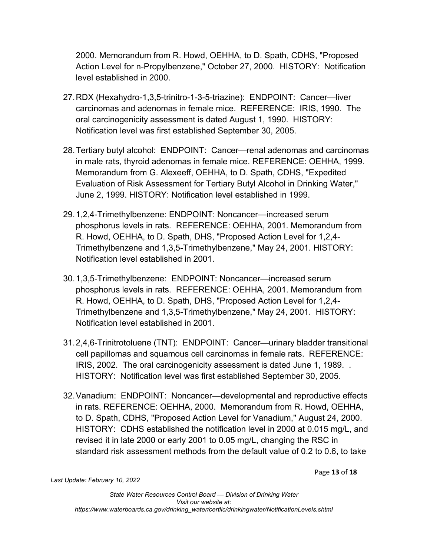2000. Memorandum from R. Howd, OEHHA, to D. Spath, CDHS, "Proposed Action Level for n-Propylbenzene," October 27, 2000. HISTORY: Notification level established in 2000.

- 27.RDX (Hexahydro-1,3,5-trinitro-1-3-5-triazine): ENDPOINT: Cancer—liver carcinomas and adenomas in female mice. REFERENCE: IRIS, 1990. The oral carcinogenicity assessment is dated August 1, 1990. HISTORY: Notification level was first established September 30, 2005.
- 28.Tertiary butyl alcohol: ENDPOINT: Cancer—renal adenomas and carcinomas in male rats, thyroid adenomas in female mice. REFERENCE: OEHHA, 1999. Memorandum from G. Alexeeff, OEHHA, to D. Spath, CDHS, "Expedited Evaluation of Risk Assessment for Tertiary Butyl Alcohol in Drinking Water," June 2, 1999. HISTORY: Notification level established in 1999.
- 29.1,2,4-Trimethylbenzene: ENDPOINT: Noncancer—increased serum phosphorus levels in rats. REFERENCE: OEHHA, 2001. Memorandum from R. Howd, OEHHA, to D. Spath, DHS, "Proposed Action Level for 1,2,4- Trimethylbenzene and 1,3,5-Trimethylbenzene," May 24, 2001. HISTORY: Notification level established in 2001.
- 30.1,3,5-Trimethylbenzene: ENDPOINT: Noncancer—increased serum phosphorus levels in rats. REFERENCE: OEHHA, 2001. Memorandum from R. Howd, OEHHA, to D. Spath, DHS, "Proposed Action Level for 1,2,4- Trimethylbenzene and 1,3,5-Trimethylbenzene," May 24, 2001. HISTORY: Notification level established in 2001.
- 31.2,4,6-Trinitrotoluene (TNT): ENDPOINT: Cancer—urinary bladder transitional cell papillomas and squamous cell carcinomas in female rats. REFERENCE: IRIS, 2002. The oral carcinogenicity assessment is dated June 1, 1989. . HISTORY: Notification level was first established September 30, 2005.
- 32.Vanadium: ENDPOINT: Noncancer—developmental and reproductive effects in rats. REFERENCE: OEHHA, 2000. Memorandum from R. Howd, OEHHA, to D. Spath, CDHS, "Proposed Action Level for Vanadium," August 24, 2000. HISTORY: CDHS established the notification level in 2000 at 0.015 mg/L, and revised it in late 2000 or early 2001 to 0.05 mg/L, changing the RSC in standard risk assessment methods from the default value of 0.2 to 0.6, to take

Page **13** of **18**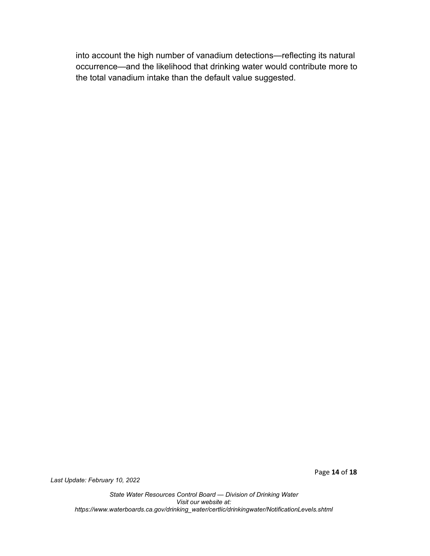into account the high number of vanadium detections—reflecting its natural occurrence—and the likelihood that drinking water would contribute more to the total vanadium intake than the default value suggested.

*Last Update: February 10, 2022*

Page **14** of **18**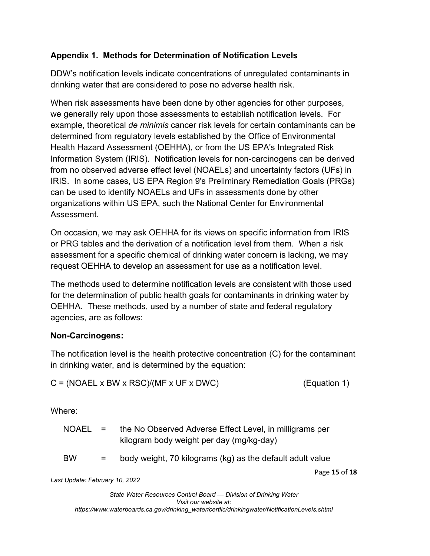# **Appendix 1. Methods for Determination of Notification Levels**

DDW's notification levels indicate concentrations of unregulated contaminants in drinking water that are considered to pose no adverse health risk.

When risk assessments have been done by other agencies for other purposes, we generally rely upon those assessments to establish notification levels. For example, theoretical *de minimis* cancer risk levels for certain contaminants can be determined from regulatory levels established by the Office of Environmental Health Hazard Assessment (OEHHA), or from the US EPA's Integrated Risk Information System (IRIS). Notification levels for non-carcinogens can be derived from no observed adverse effect level (NOAELs) and uncertainty factors (UFs) in IRIS. In some cases, US EPA Region 9's Preliminary Remediation Goals (PRGs) can be used to identify NOAELs and UFs in assessments done by other organizations within US EPA, such the National Center for Environmental Assessment.

On occasion, we may ask OEHHA for its views on specific information from IRIS or PRG tables and the derivation of a notification level from them. When a risk assessment for a specific chemical of drinking water concern is lacking, we may request OEHHA to develop an assessment for use as a notification level.

The methods used to determine notification levels are consistent with those used for the determination of public health goals for contaminants in drinking water by OEHHA. These methods, used by a number of state and federal regulatory agencies, are as follows:

## **Non-Carcinogens:**

The notification level is the health protective concentration (C) for the contaminant in drinking water, and is determined by the equation:

| $C = (NOAEL \times BW \times RSC)/(MF \times UF \times DWC)$ | (Equation 1) |  |
|--------------------------------------------------------------|--------------|--|
|                                                              |              |  |

Where:

| NOAEL = |     | the No Observed Adverse Effect Level, in milligrams per<br>kilogram body weight per day (mg/kg-day) |               |
|---------|-----|-----------------------------------------------------------------------------------------------------|---------------|
| BW      | $=$ | body weight, 70 kilograms (kg) as the default adult value                                           |               |
|         |     |                                                                                                     | Page 15 of 18 |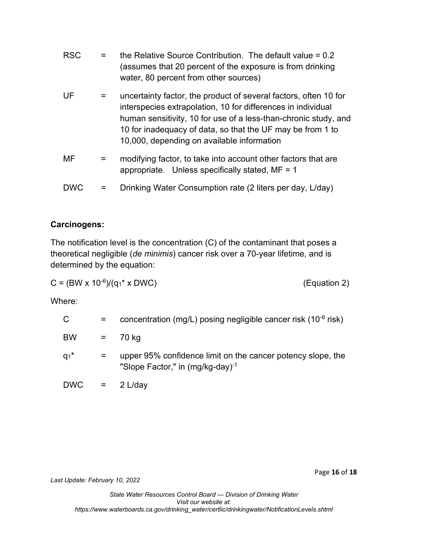| <b>RSC</b> |   | the Relative Source Contribution. The default value $= 0.2$<br>(assumes that 20 percent of the exposure is from drinking<br>water, 80 percent from other sources)                                                                                                                                               |
|------------|---|-----------------------------------------------------------------------------------------------------------------------------------------------------------------------------------------------------------------------------------------------------------------------------------------------------------------|
| UF         |   | uncertainty factor, the product of several factors, often 10 for<br>interspecies extrapolation, 10 for differences in individual<br>human sensitivity, 10 for use of a less-than-chronic study, and<br>10 for inadequacy of data, so that the UF may be from 1 to<br>10,000, depending on available information |
| MF         | = | modifying factor, to take into account other factors that are<br>appropriate. Unless specifically stated, $MF = 1$                                                                                                                                                                                              |
| <b>DWC</b> |   | Drinking Water Consumption rate (2 liters per day, L/day)                                                                                                                                                                                                                                                       |

### **Carcinogens:**

The notification level is the concentration (C) of the contaminant that poses a theoretical negligible (*de minimis*) cancer risk over a 70-year lifetime, and is determined by the equation:

$$
C = (BW \times 10^{-6})/(q_1 * \times DWC)
$$

(Equation 2)

Where:

| C                  | $=$               | concentration (mg/L) posing negligible cancer risk $(10^{-6}$ risk)                                  |
|--------------------|-------------------|------------------------------------------------------------------------------------------------------|
| <b>BW</b>          | $\equiv$ $\equiv$ | 70 kg                                                                                                |
| $q_1$ <sup>*</sup> | $=$               | upper 95% confidence limit on the cancer potency slope, the<br>"Slope Factor," in $(mg/kg-day)^{-1}$ |
|                    |                   | $DWC = 2 L/day$                                                                                      |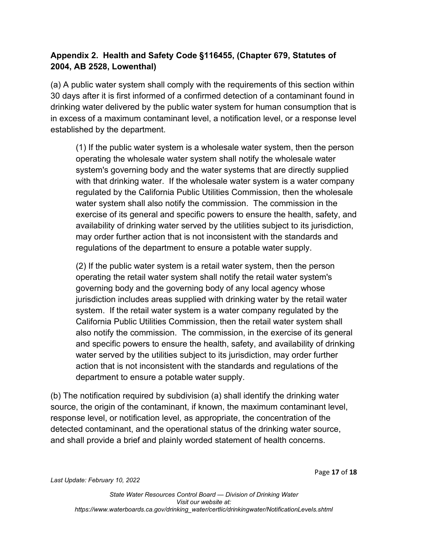# **Appendix 2. Health and Safety Code §116455, (Chapter 679, Statutes of 2004, AB 2528, Lowenthal)**

(a) A public water system shall comply with the requirements of this section within 30 days after it is first informed of a confirmed detection of a contaminant found in drinking water delivered by the public water system for human consumption that is in excess of a maximum contaminant level, a notification level, or a response level established by the department.

(1) If the public water system is a wholesale water system, then the person operating the wholesale water system shall notify the wholesale water system's governing body and the water systems that are directly supplied with that drinking water. If the wholesale water system is a water company regulated by the California Public Utilities Commission, then the wholesale water system shall also notify the commission. The commission in the exercise of its general and specific powers to ensure the health, safety, and availability of drinking water served by the utilities subject to its jurisdiction, may order further action that is not inconsistent with the standards and regulations of the department to ensure a potable water supply.

(2) If the public water system is a retail water system, then the person operating the retail water system shall notify the retail water system's governing body and the governing body of any local agency whose jurisdiction includes areas supplied with drinking water by the retail water system. If the retail water system is a water company regulated by the California Public Utilities Commission, then the retail water system shall also notify the commission. The commission, in the exercise of its general and specific powers to ensure the health, safety, and availability of drinking water served by the utilities subject to its jurisdiction, may order further action that is not inconsistent with the standards and regulations of the department to ensure a potable water supply.

(b) The notification required by subdivision (a) shall identify the drinking water source, the origin of the contaminant, if known, the maximum contaminant level, response level, or notification level, as appropriate, the concentration of the detected contaminant, and the operational status of the drinking water source, and shall provide a brief and plainly worded statement of health concerns.

Page **17** of **18**

*Last Update: February 10, 2022*